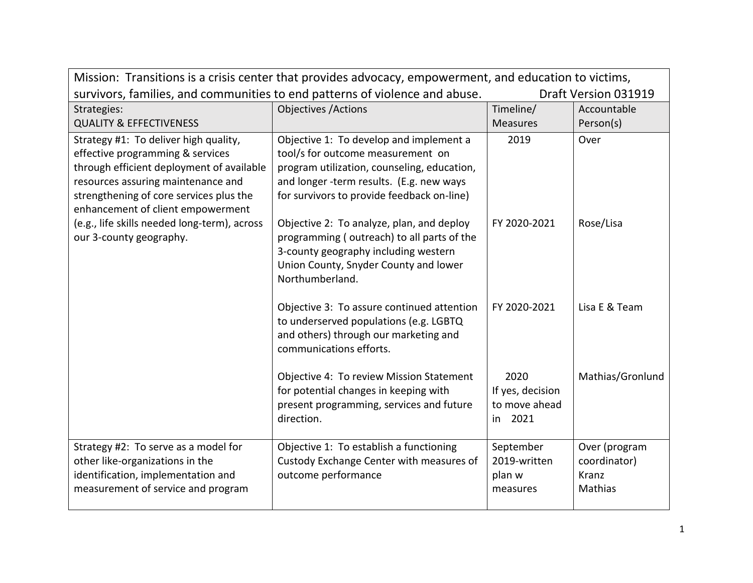| Mission: Transitions is a crisis center that provides advocacy, empowerment, and education to victims, |                                                                                                     |                  |                  |  |
|--------------------------------------------------------------------------------------------------------|-----------------------------------------------------------------------------------------------------|------------------|------------------|--|
|                                                                                                        | survivors, families, and communities to end patterns of violence and abuse.<br>Draft Version 031919 |                  |                  |  |
| Strategies:                                                                                            | <b>Objectives / Actions</b>                                                                         | Timeline/        | Accountable      |  |
| <b>QUALITY &amp; EFFECTIVENESS</b>                                                                     |                                                                                                     | <b>Measures</b>  | Person(s)        |  |
| Strategy #1: To deliver high quality,                                                                  | Objective 1: To develop and implement a                                                             | 2019             | Over             |  |
| effective programming & services                                                                       | tool/s for outcome measurement on                                                                   |                  |                  |  |
| through efficient deployment of available                                                              | program utilization, counseling, education,                                                         |                  |                  |  |
| resources assuring maintenance and                                                                     | and longer -term results. (E.g. new ways                                                            |                  |                  |  |
| strengthening of core services plus the                                                                | for survivors to provide feedback on-line)                                                          |                  |                  |  |
| enhancement of client empowerment                                                                      |                                                                                                     |                  |                  |  |
| (e.g., life skills needed long-term), across                                                           | Objective 2: To analyze, plan, and deploy                                                           | FY 2020-2021     | Rose/Lisa        |  |
| our 3-county geography.                                                                                | programming (outreach) to all parts of the                                                          |                  |                  |  |
|                                                                                                        | 3-county geography including western                                                                |                  |                  |  |
|                                                                                                        | Union County, Snyder County and lower                                                               |                  |                  |  |
|                                                                                                        | Northumberland.                                                                                     |                  |                  |  |
|                                                                                                        | Objective 3: To assure continued attention                                                          | FY 2020-2021     | Lisa E & Team    |  |
|                                                                                                        | to underserved populations (e.g. LGBTQ                                                              |                  |                  |  |
|                                                                                                        | and others) through our marketing and                                                               |                  |                  |  |
|                                                                                                        | communications efforts.                                                                             |                  |                  |  |
|                                                                                                        |                                                                                                     |                  |                  |  |
|                                                                                                        | Objective 4: To review Mission Statement                                                            | 2020             | Mathias/Gronlund |  |
|                                                                                                        | for potential changes in keeping with                                                               | If yes, decision |                  |  |
|                                                                                                        | present programming, services and future                                                            | to move ahead    |                  |  |
|                                                                                                        | direction.                                                                                          | in 2021          |                  |  |
|                                                                                                        |                                                                                                     |                  |                  |  |
| Strategy #2: To serve as a model for                                                                   | Objective 1: To establish a functioning                                                             | September        | Over (program    |  |
| other like-organizations in the                                                                        | Custody Exchange Center with measures of                                                            | 2019-written     | coordinator)     |  |
| identification, implementation and                                                                     | outcome performance                                                                                 | plan w           | Kranz            |  |
| measurement of service and program                                                                     |                                                                                                     | measures         | Mathias          |  |
|                                                                                                        |                                                                                                     |                  |                  |  |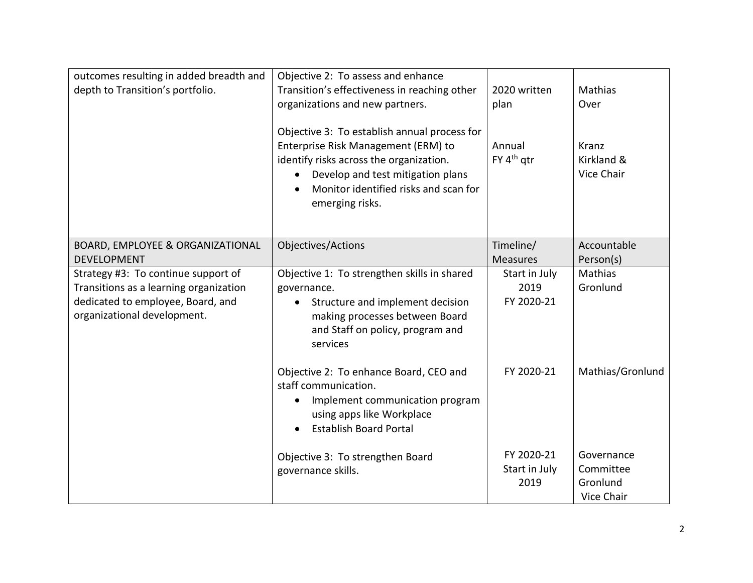| outcomes resulting in added breadth and<br>depth to Transition's portfolio.                                                                       | Objective 2: To assess and enhance<br>Transition's effectiveness in reaching other<br>organizations and new partners.<br>Objective 3: To establish annual process for<br>Enterprise Risk Management (ERM) to<br>identify risks across the organization.<br>Develop and test mitigation plans<br>$\bullet$<br>Monitor identified risks and scan for<br>emerging risks. | 2020 written<br>plan<br>Annual<br>FY 4 <sup>th</sup> qtr | Mathias<br>Over<br>Kranz<br>Kirkland &<br>Vice Chair |
|---------------------------------------------------------------------------------------------------------------------------------------------------|-----------------------------------------------------------------------------------------------------------------------------------------------------------------------------------------------------------------------------------------------------------------------------------------------------------------------------------------------------------------------|----------------------------------------------------------|------------------------------------------------------|
| BOARD, EMPLOYEE & ORGANIZATIONAL<br><b>DEVELOPMENT</b>                                                                                            | Objectives/Actions                                                                                                                                                                                                                                                                                                                                                    | Timeline/<br><b>Measures</b>                             | Accountable<br>Person(s)                             |
| Strategy #3: To continue support of<br>Transitions as a learning organization<br>dedicated to employee, Board, and<br>organizational development. | Objective 1: To strengthen skills in shared<br>governance.<br>Structure and implement decision<br>making processes between Board<br>and Staff on policy, program and<br>services                                                                                                                                                                                      | Start in July<br>2019<br>FY 2020-21                      | <b>Mathias</b><br>Gronlund                           |
|                                                                                                                                                   | Objective 2: To enhance Board, CEO and<br>staff communication.<br>Implement communication program<br>using apps like Workplace<br><b>Establish Board Portal</b>                                                                                                                                                                                                       | FY 2020-21                                               | Mathias/Gronlund                                     |
|                                                                                                                                                   | Objective 3: To strengthen Board<br>governance skills.                                                                                                                                                                                                                                                                                                                | FY 2020-21<br>Start in July<br>2019                      | Governance<br>Committee<br>Gronlund<br>Vice Chair    |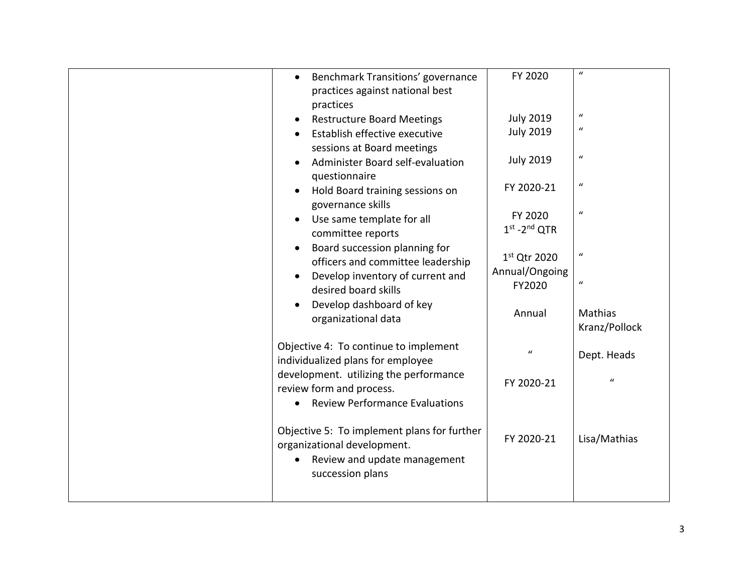| $\boldsymbol{u}$<br>FY 2020<br>Benchmark Transitions' governance<br>$\bullet$<br>practices against national best<br>practices<br>$\boldsymbol{u}$<br><b>July 2019</b><br><b>Restructure Board Meetings</b><br>$\boldsymbol{u}$<br><b>July 2019</b><br>Establish effective executive<br>sessions at Board meetings<br>$\boldsymbol{u}$<br><b>July 2019</b><br>Administer Board self-evaluation<br>questionnaire<br>$\boldsymbol{u}$<br>FY 2020-21<br>Hold Board training sessions on<br>governance skills<br>$\boldsymbol{u}$<br>FY 2020<br>Use same template for all<br>$1st - 2nd$ QTR<br>committee reports<br>Board succession planning for<br>$\boldsymbol{u}$<br>1st Qtr 2020<br>officers and committee leadership<br>Annual/Ongoing<br>Develop inventory of current and<br>$\boldsymbol{u}$<br>FY2020<br>desired board skills<br>Develop dashboard of key<br>Annual<br>Mathias<br>organizational data<br>Kranz/Pollock<br>Objective 4: To continue to implement<br>$\boldsymbol{u}$<br>Dept. Heads<br>individualized plans for employee<br>development. utilizing the performance<br>$\boldsymbol{u}$<br>FY 2020-21<br>review form and process.<br><b>Review Performance Evaluations</b><br>Objective 5: To implement plans for further |  |            |              |
|----------------------------------------------------------------------------------------------------------------------------------------------------------------------------------------------------------------------------------------------------------------------------------------------------------------------------------------------------------------------------------------------------------------------------------------------------------------------------------------------------------------------------------------------------------------------------------------------------------------------------------------------------------------------------------------------------------------------------------------------------------------------------------------------------------------------------------------------------------------------------------------------------------------------------------------------------------------------------------------------------------------------------------------------------------------------------------------------------------------------------------------------------------------------------------------------------------------------------------------------|--|------------|--------------|
|                                                                                                                                                                                                                                                                                                                                                                                                                                                                                                                                                                                                                                                                                                                                                                                                                                                                                                                                                                                                                                                                                                                                                                                                                                              |  |            |              |
|                                                                                                                                                                                                                                                                                                                                                                                                                                                                                                                                                                                                                                                                                                                                                                                                                                                                                                                                                                                                                                                                                                                                                                                                                                              |  |            |              |
|                                                                                                                                                                                                                                                                                                                                                                                                                                                                                                                                                                                                                                                                                                                                                                                                                                                                                                                                                                                                                                                                                                                                                                                                                                              |  |            |              |
|                                                                                                                                                                                                                                                                                                                                                                                                                                                                                                                                                                                                                                                                                                                                                                                                                                                                                                                                                                                                                                                                                                                                                                                                                                              |  |            |              |
|                                                                                                                                                                                                                                                                                                                                                                                                                                                                                                                                                                                                                                                                                                                                                                                                                                                                                                                                                                                                                                                                                                                                                                                                                                              |  |            |              |
|                                                                                                                                                                                                                                                                                                                                                                                                                                                                                                                                                                                                                                                                                                                                                                                                                                                                                                                                                                                                                                                                                                                                                                                                                                              |  |            |              |
|                                                                                                                                                                                                                                                                                                                                                                                                                                                                                                                                                                                                                                                                                                                                                                                                                                                                                                                                                                                                                                                                                                                                                                                                                                              |  |            |              |
|                                                                                                                                                                                                                                                                                                                                                                                                                                                                                                                                                                                                                                                                                                                                                                                                                                                                                                                                                                                                                                                                                                                                                                                                                                              |  |            |              |
|                                                                                                                                                                                                                                                                                                                                                                                                                                                                                                                                                                                                                                                                                                                                                                                                                                                                                                                                                                                                                                                                                                                                                                                                                                              |  |            |              |
|                                                                                                                                                                                                                                                                                                                                                                                                                                                                                                                                                                                                                                                                                                                                                                                                                                                                                                                                                                                                                                                                                                                                                                                                                                              |  |            |              |
|                                                                                                                                                                                                                                                                                                                                                                                                                                                                                                                                                                                                                                                                                                                                                                                                                                                                                                                                                                                                                                                                                                                                                                                                                                              |  |            |              |
| organizational development.<br>Review and update management                                                                                                                                                                                                                                                                                                                                                                                                                                                                                                                                                                                                                                                                                                                                                                                                                                                                                                                                                                                                                                                                                                                                                                                  |  | FY 2020-21 | Lisa/Mathias |
| succession plans                                                                                                                                                                                                                                                                                                                                                                                                                                                                                                                                                                                                                                                                                                                                                                                                                                                                                                                                                                                                                                                                                                                                                                                                                             |  |            |              |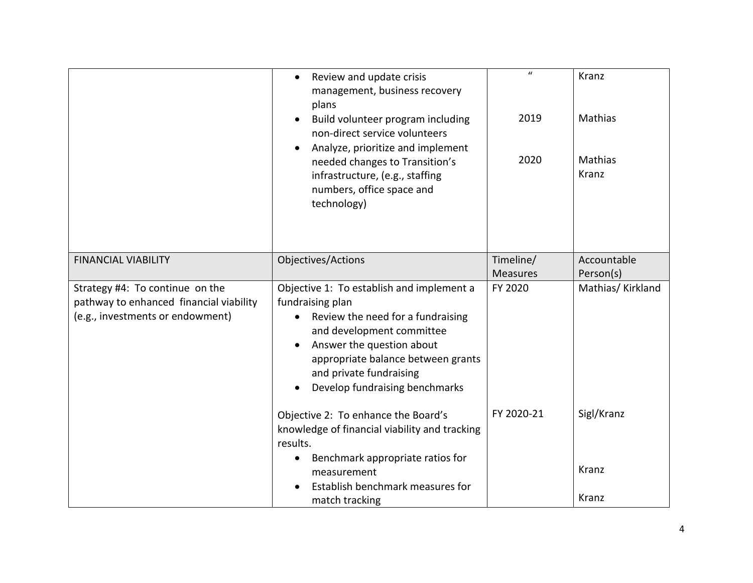|                                                                                                                | Review and update crisis<br>$\bullet$<br>management, business recovery<br>plans<br>Build volunteer program including<br>non-direct service volunteers<br>Analyze, prioritize and implement<br>needed changes to Transition's<br>infrastructure, (e.g., staffing<br>numbers, office space and<br>technology) | $\boldsymbol{u}$<br>2019<br>2020 | Kranz<br>Mathias<br>Mathias<br>Kranz |
|----------------------------------------------------------------------------------------------------------------|-------------------------------------------------------------------------------------------------------------------------------------------------------------------------------------------------------------------------------------------------------------------------------------------------------------|----------------------------------|--------------------------------------|
| <b>FINANCIAL VIABILITY</b>                                                                                     | Objectives/Actions                                                                                                                                                                                                                                                                                          | Timeline/<br><b>Measures</b>     | Accountable<br>Person(s)             |
| Strategy #4: To continue on the<br>pathway to enhanced financial viability<br>(e.g., investments or endowment) | Objective 1: To establish and implement a<br>fundraising plan<br>Review the need for a fundraising<br>and development committee<br>Answer the question about<br>appropriate balance between grants<br>and private fundraising<br>Develop fundraising benchmarks                                             | FY 2020                          | Mathias/Kirkland                     |
|                                                                                                                | Objective 2: To enhance the Board's<br>knowledge of financial viability and tracking<br>results.<br>Benchmark appropriate ratios for                                                                                                                                                                        | FY 2020-21                       | Sigl/Kranz                           |
|                                                                                                                | measurement<br>Establish benchmark measures for                                                                                                                                                                                                                                                             |                                  | Kranz                                |
|                                                                                                                | match tracking                                                                                                                                                                                                                                                                                              |                                  | Kranz                                |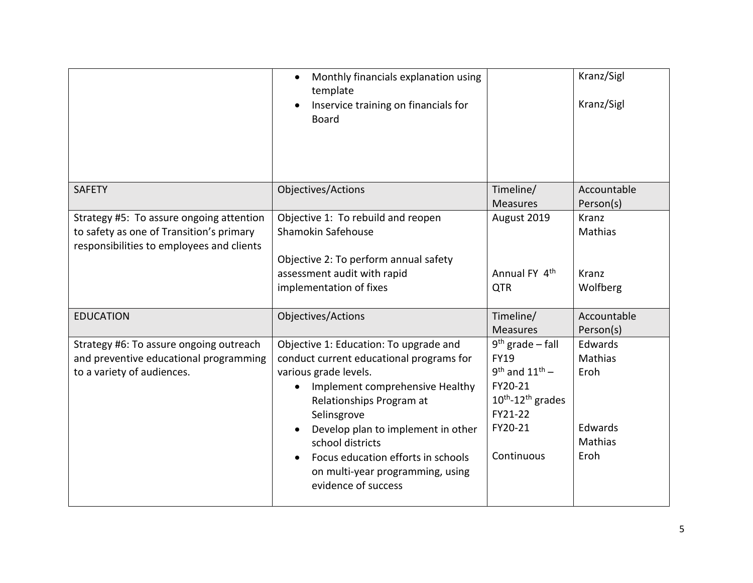|                                                                                                                                   | Monthly financials explanation using<br>$\bullet$<br>template<br>Inservice training on financials for<br>$\bullet$<br><b>Board</b>                                                                                                                                                                                                                                |                                                                                                                                                    | Kranz/Sigl<br>Kranz/Sigl                                 |
|-----------------------------------------------------------------------------------------------------------------------------------|-------------------------------------------------------------------------------------------------------------------------------------------------------------------------------------------------------------------------------------------------------------------------------------------------------------------------------------------------------------------|----------------------------------------------------------------------------------------------------------------------------------------------------|----------------------------------------------------------|
| <b>SAFETY</b>                                                                                                                     | Objectives/Actions                                                                                                                                                                                                                                                                                                                                                | Timeline/<br><b>Measures</b>                                                                                                                       | Accountable<br>Person(s)                                 |
| Strategy #5: To assure ongoing attention<br>to safety as one of Transition's primary<br>responsibilities to employees and clients | Objective 1: To rebuild and reopen<br>Shamokin Safehouse<br>Objective 2: To perform annual safety<br>assessment audit with rapid<br>implementation of fixes                                                                                                                                                                                                       | August 2019<br>Annual FY 4 <sup>th</sup><br><b>QTR</b>                                                                                             | Kranz<br>Mathias<br>Kranz<br>Wolfberg                    |
| <b>EDUCATION</b>                                                                                                                  | Objectives/Actions                                                                                                                                                                                                                                                                                                                                                | Timeline/<br><b>Measures</b>                                                                                                                       | Accountable<br>Person(s)                                 |
| Strategy #6: To assure ongoing outreach<br>and preventive educational programming<br>to a variety of audiences.                   | Objective 1: Education: To upgrade and<br>conduct current educational programs for<br>various grade levels.<br>Implement comprehensive Healthy<br>$\bullet$<br>Relationships Program at<br>Selinsgrove<br>Develop plan to implement in other<br>school districts<br>Focus education efforts in schools<br>on multi-year programming, using<br>evidence of success | $9th$ grade – fall<br><b>FY19</b><br>$9^{th}$ and $11^{th}$ -<br>FY20-21<br>$10^{th}$ -12 <sup>th</sup> grades<br>FY21-22<br>FY20-21<br>Continuous | Edwards<br>Mathias<br>Eroh<br>Edwards<br>Mathias<br>Eroh |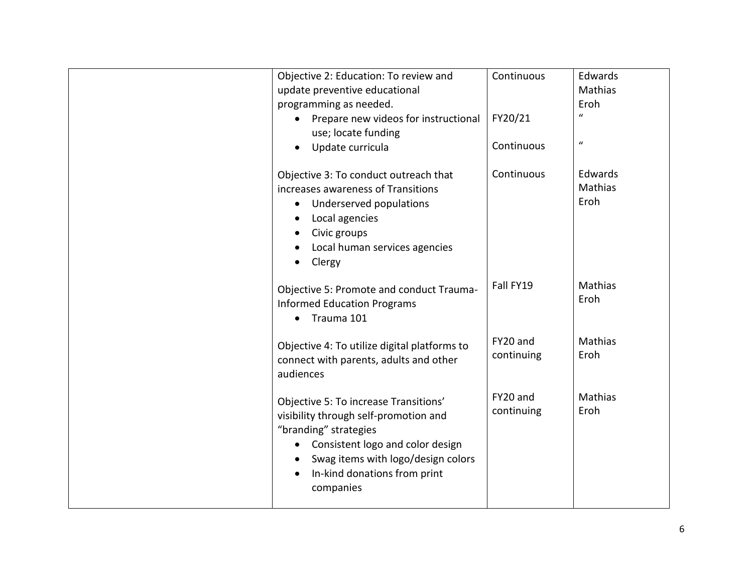| Objective 2: Education: To review and<br>update preventive educational                                                                                                                                                                      | Continuous             | Edwards<br><b>Mathias</b> |
|---------------------------------------------------------------------------------------------------------------------------------------------------------------------------------------------------------------------------------------------|------------------------|---------------------------|
| programming as needed.                                                                                                                                                                                                                      |                        | Eroh<br>$\mathbf{u}$      |
| Prepare new videos for instructional<br>use; locate funding                                                                                                                                                                                 | FY20/21                |                           |
| Update curricula                                                                                                                                                                                                                            | Continuous             | $\boldsymbol{u}$          |
|                                                                                                                                                                                                                                             |                        |                           |
| Objective 3: To conduct outreach that                                                                                                                                                                                                       | Continuous             | Edwards                   |
| increases awareness of Transitions                                                                                                                                                                                                          |                        | Mathias                   |
| Underserved populations<br>$\bullet$                                                                                                                                                                                                        |                        | Eroh                      |
| Local agencies                                                                                                                                                                                                                              |                        |                           |
| Civic groups                                                                                                                                                                                                                                |                        |                           |
| Local human services agencies                                                                                                                                                                                                               |                        |                           |
| Clergy                                                                                                                                                                                                                                      |                        |                           |
| Objective 5: Promote and conduct Trauma-<br><b>Informed Education Programs</b><br>Trauma 101<br>$\bullet$                                                                                                                                   | Fall FY19              | Mathias<br>Eroh           |
| Objective 4: To utilize digital platforms to<br>connect with parents, adults and other<br>audiences                                                                                                                                         | FY20 and<br>continuing | <b>Mathias</b><br>Eroh    |
| Objective 5: To increase Transitions'<br>visibility through self-promotion and<br>"branding" strategies<br>Consistent logo and color design<br>$\bullet$<br>Swag items with logo/design colors<br>In-kind donations from print<br>companies | FY20 and<br>continuing | Mathias<br>Eroh           |
|                                                                                                                                                                                                                                             |                        |                           |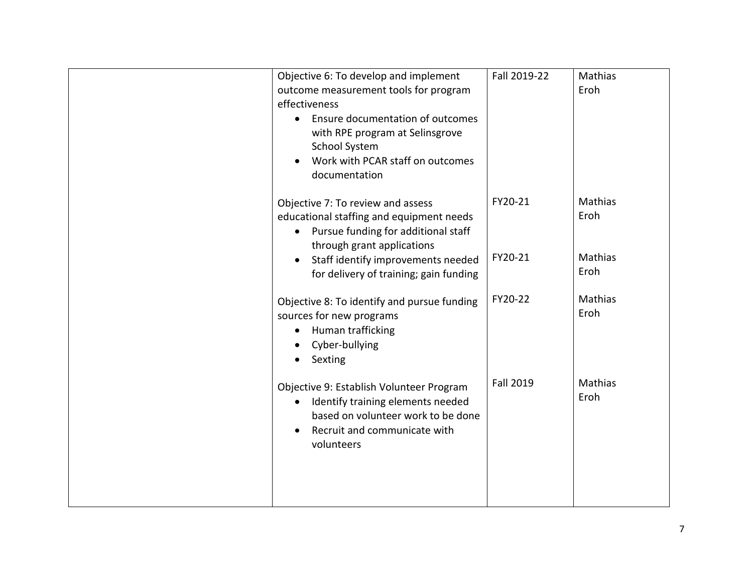| Objective 6: To develop and implement<br>outcome measurement tools for program<br>effectiveness<br>Ensure documentation of outcomes<br>$\bullet$<br>with RPE program at Selinsgrove<br><b>School System</b><br>Work with PCAR staff on outcomes<br>documentation | Fall 2019-22     | Mathias<br>Eroh        |
|------------------------------------------------------------------------------------------------------------------------------------------------------------------------------------------------------------------------------------------------------------------|------------------|------------------------|
| Objective 7: To review and assess<br>educational staffing and equipment needs<br>Pursue funding for additional staff<br>through grant applications                                                                                                               | FY20-21          | Mathias<br>Eroh        |
| Staff identify improvements needed<br>for delivery of training; gain funding                                                                                                                                                                                     | FY20-21          | Mathias<br>Eroh        |
| Objective 8: To identify and pursue funding<br>sources for new programs<br>Human trafficking<br>Cyber-bullying<br>Sexting                                                                                                                                        | FY20-22          | <b>Mathias</b><br>Eroh |
| Objective 9: Establish Volunteer Program<br>Identify training elements needed<br>based on volunteer work to be done<br>Recruit and communicate with<br>volunteers                                                                                                | <b>Fall 2019</b> | Mathias<br>Eroh        |
|                                                                                                                                                                                                                                                                  |                  |                        |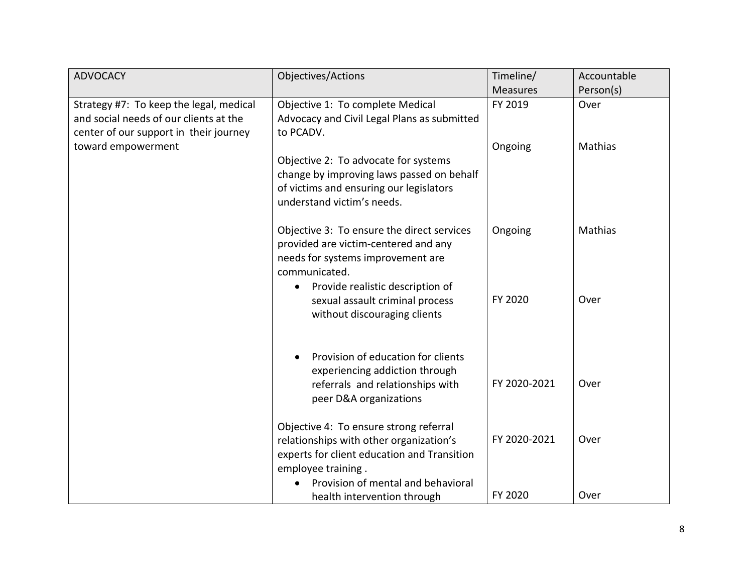| <b>ADVOCACY</b>                                                                                                             | <b>Objectives/Actions</b>                                                                                                                                                                    | Timeline/       | Accountable |
|-----------------------------------------------------------------------------------------------------------------------------|----------------------------------------------------------------------------------------------------------------------------------------------------------------------------------------------|-----------------|-------------|
|                                                                                                                             |                                                                                                                                                                                              | <b>Measures</b> | Person(s)   |
| Strategy #7: To keep the legal, medical<br>and social needs of our clients at the<br>center of our support in their journey | Objective 1: To complete Medical<br>Advocacy and Civil Legal Plans as submitted<br>to PCADV.                                                                                                 | FY 2019         | Over        |
| toward empowerment                                                                                                          | Objective 2: To advocate for systems<br>change by improving laws passed on behalf<br>of victims and ensuring our legislators<br>understand victim's needs.                                   | Ongoing         | Mathias     |
|                                                                                                                             | Objective 3: To ensure the direct services<br>provided are victim-centered and any<br>needs for systems improvement are<br>communicated.<br>Provide realistic description of<br>$\bullet$    | Ongoing         | Mathias     |
|                                                                                                                             | sexual assault criminal process<br>without discouraging clients                                                                                                                              | FY 2020         | Over        |
|                                                                                                                             | Provision of education for clients<br>experiencing addiction through<br>referrals and relationships with<br>peer D&A organizations                                                           | FY 2020-2021    | Over        |
|                                                                                                                             | Objective 4: To ensure strong referral<br>relationships with other organization's<br>experts for client education and Transition<br>employee training.<br>Provision of mental and behavioral | FY 2020-2021    | Over        |
|                                                                                                                             | health intervention through                                                                                                                                                                  | FY 2020         | Over        |